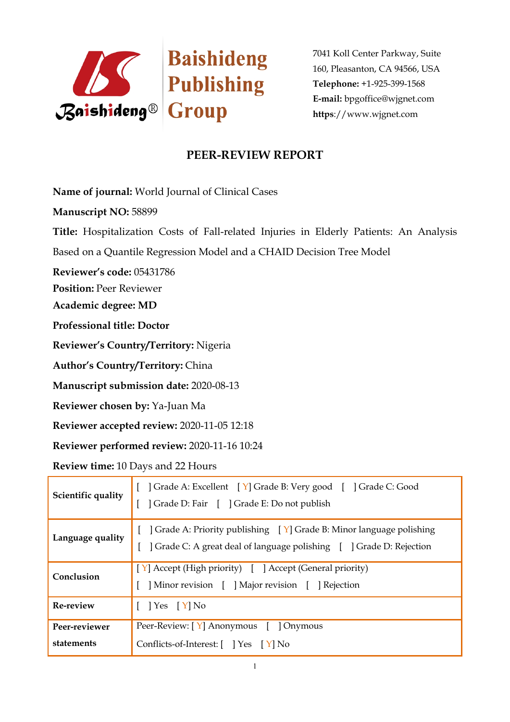

7041 Koll Center Parkway, Suite 160, Pleasanton, CA 94566, USA **Telephone:** +1-925-399-1568 **E-mail:** bpgoffice@wjgnet.com **https**://www.wjgnet.com

## **PEER-REVIEW REPORT**

**Name of journal:** World Journal of Clinical Cases

**Manuscript NO:** 58899

**Title:** Hospitalization Costs of Fall-related Injuries in Elderly Patients: An Analysis Based on a Quantile Regression Model and a CHAID Decision Tree Model

**Reviewer's code:** 05431786

**Position:** Peer Reviewer

**Academic degree: MD**

**Professional title: Doctor**

**Reviewer's Country/Territory:** Nigeria

**Author's Country/Territory:** China

**Manuscript submission date:** 2020-08-13

**Reviewer chosen by:** Ya-Juan Ma

**Reviewer accepted review:** 2020-11-05 12:18

**Reviewer performed review:** 2020-11-16 10:24

**Review time:** 10 Days and 22 Hours

| Scientific quality          | [ ] Grade A: Excellent [ Y] Grade B: Very good [ ] Grade C: Good<br>Grade D: Fair [ ] Grade E: Do not publish                                              |
|-----------------------------|------------------------------------------------------------------------------------------------------------------------------------------------------------|
| Language quality            | [ $\int$ Grade A: Priority publishing $\int Y$ Grade B: Minor language polishing<br>[ ] Grade C: A great deal of language polishing [ ] Grade D: Rejection |
| Conclusion                  | [Y] Accept (High priority) [ ] Accept (General priority)<br>Minor revision [ ] Major revision [ ] Rejection                                                |
| Re-review                   | $\begin{bmatrix} \end{bmatrix} Yes \begin{bmatrix} Y \end{bmatrix} No$                                                                                     |
| Peer-reviewer<br>statements | Peer-Review: [Y] Anonymous [ ] Onymous<br>Conflicts-of-Interest: [ ] Yes [Y] No                                                                            |